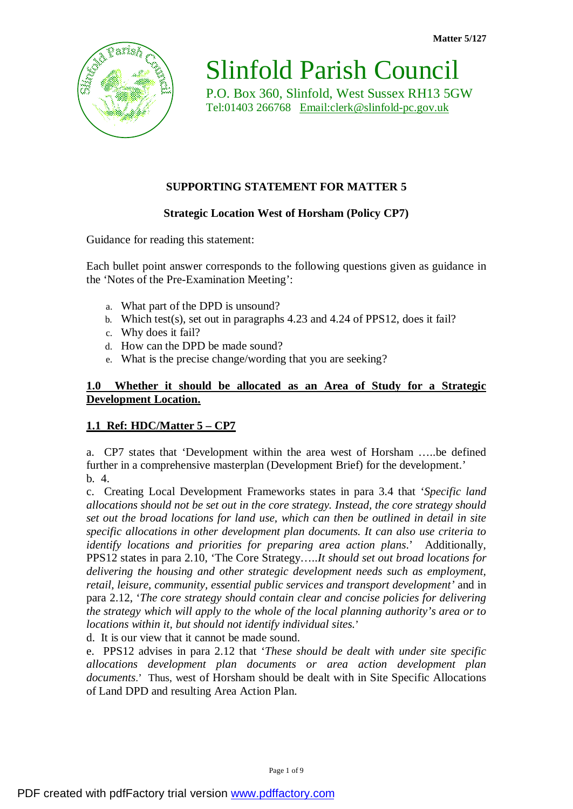

Slinfold Parish Council P.O. Box 360, Slinfold, West Sussex RH13 5GW Tel:01403 266768 [Email:clerk@slinfold-pc.gov.uk](mailto:Email:clerk@slinfold-pc.gov.uk)

# **SUPPORTING STATEMENT FOR MATTER 5**

## **Strategic Location West of Horsham (Policy CP7)**

Guidance for reading this statement:

Each bullet point answer corresponds to the following questions given as guidance in the 'Notes of the Pre-Examination Meeting':

- a. What part of the DPD is unsound?
- b. Which test(s), set out in paragraphs 4.23 and 4.24 of PPS12, does it fail?
- c. Why does it fail?
- d. How can the DPD be made sound?
- e. What is the precise change/wording that you are seeking?

### **1.0 Whether it should be allocated as an Area of Study for a Strategic Development Location.**

## **1.1 Ref: HDC/Matter 5 – CP7**

a. CP7 states that 'Development within the area west of Horsham …..be defined further in a comprehensive masterplan (Development Brief) for the development.' b. 4.

c. Creating Local Development Frameworks states in para 3.4 that '*Specific land allocations should not be set out in the core strategy. Instead, the core strategy should set out the broad locations for land use, which can then be outlined in detail in site specific allocations in other development plan documents. It can also use criteria to identify locations and priorities for preparing area action plans*.' Additionally, PPS12 states in para 2.10, 'The Core Strategy…..*It should set out broad locations for delivering the housing and other strategic development needs such as employment, retail, leisure, community, essential public services and transport development'* and in para 2.12, '*The core strategy should contain clear and concise policies for delivering the strategy which will apply to the whole of the local planning authority's area or to locations within it, but should not identify individual sites.*'

d. It is our view that it cannot be made sound.

e. PPS12 advises in para 2.12 that '*These should be dealt with under site specific allocations development plan documents or area action development plan documents*.' Thus, west of Horsham should be dealt with in Site Specific Allocations of Land DPD and resulting Area Action Plan.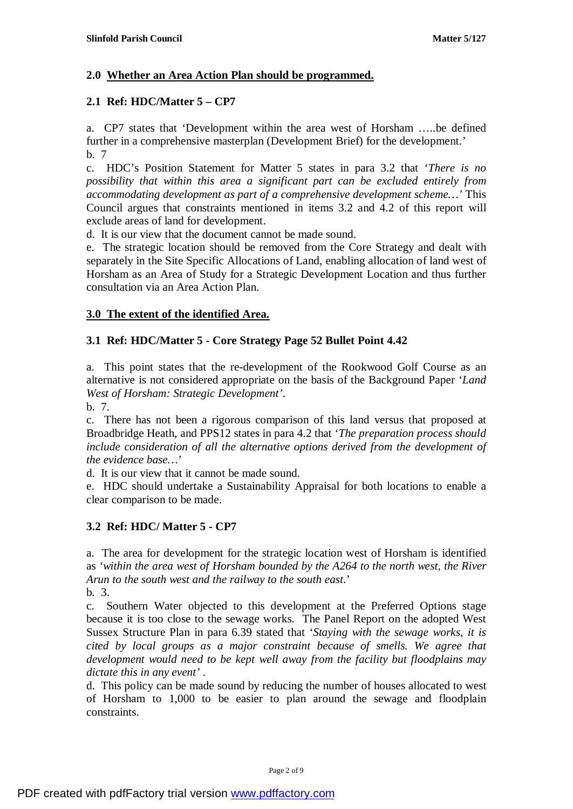## **2.0 Whether an Area Action Plan should be programmed.**

## **2.1 Ref: HDC/Matter 5 – CP7**

a. CP7 states that 'Development within the area west of Horsham …..be defined further in a comprehensive masterplan (Development Brief) for the development.' b. 7

c. HDC's Position Statement for Matter 5 states in para 3.2 that '*There is no possibility that within this area a significant part can be excluded entirely from accommodating development as part of a comprehensive development scheme…'* This Council argues that constraints mentioned in items 3.2 and 4.2 of this report will exclude areas of land for development.

d. It is our view that the document cannot be made sound.

e. The strategic location should be removed from the Core Strategy and dealt with separately in the Site Specific Allocations of Land, enabling allocation of land west of Horsham as an Area of Study for a Strategic Development Location and thus further consultation via an Area Action Plan.

## **3.0 The extent of the identified Area.**

### **3.1 Ref: HDC/Matter 5 - Core Strategy Page 52 Bullet Point 4.42**

a. This point states that the re-development of the Rookwood Golf Course as an alternative is not considered appropriate on the basis of the Background Paper '*Land West of Horsham: Strategic Development'*.

b. 7.

c. There has not been a rigorous comparison of this land versus that proposed at Broadbridge Heath, and PPS12 states in para 4.2 that '*The preparation process should include consideration of all the alternative options derived from the development of the evidence base…*'

d. It is our view that it cannot be made sound.

e. HDC should undertake a Sustainability Appraisal for both locations to enable a clear comparison to be made.

## **3.2 Ref: HDC/ Matter 5 - CP7**

a. The area for development for the strategic location west of Horsham is identified as *'within the area west of Horsham bounded by the A264 to the north west, the River Arun to the south west and the railway to the south east*.' b. 3.

c. Southern Water objected to this development at the Preferred Options stage because it is too close to the sewage works. The Panel Report on the adopted West Sussex Structure Plan in para 6.39 stated that '*Staying with the sewage works, it is cited by local groups as a major constraint because of smells. We agree that development would need to be kept well away from the facility but floodplains may dictate this in any event'* .

d. This policy can be made sound by reducing the number of houses allocated to west of Horsham to 1,000 to be easier to plan around the sewage and floodplain constraints.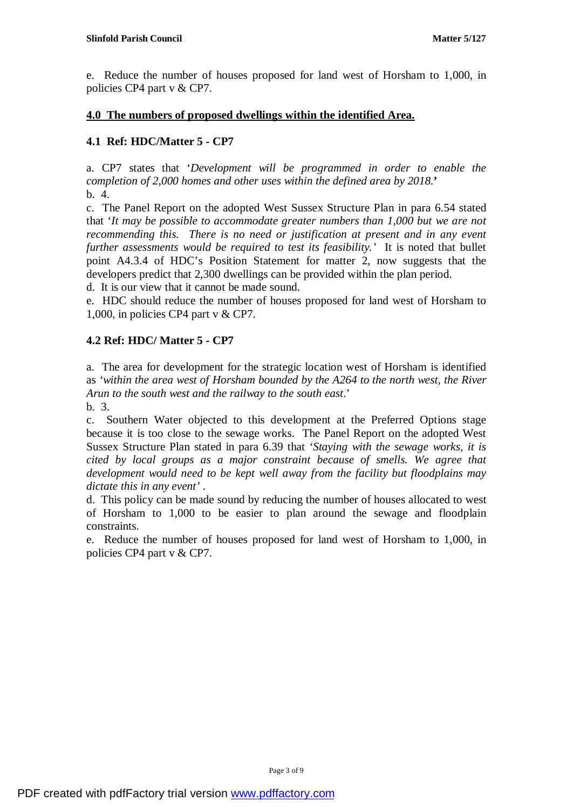e. Reduce the number of houses proposed for land west of Horsham to 1,000, in policies CP4 part v & CP7.

### **4.0 The numbers of proposed dwellings within the identified Area.**

## **4.1 Ref: HDC/Matter 5 - CP7**

a. CP7 states that '*Development will be programmed in order to enable the completion of 2,000 homes and other uses within the defined area by 2018.***'**  b. 4.

c. The Panel Report on the adopted West Sussex Structure Plan in para 6.54 stated that '*It may be possible to accommodate greater numbers than 1,000 but we are not recommending this. There is no need or justification at present and in any event further assessments would be required to test its feasibility.'* It is noted that bullet point A4.3.4 of HDC's Position Statement for matter 2, now suggests that the developers predict that 2,300 dwellings can be provided within the plan period.

d. It is our view that it cannot be made sound.

e. HDC should reduce the number of houses proposed for land west of Horsham to 1,000, in policies CP4 part v & CP7.

### **4.2 Ref: HDC/ Matter 5 - CP7**

a. The area for development for the strategic location west of Horsham is identified as *'within the area west of Horsham bounded by the A264 to the north west, the River Arun to the south west and the railway to the south east*.' b. 3.

c. Southern Water objected to this development at the Preferred Options stage because it is too close to the sewage works. The Panel Report on the adopted West Sussex Structure Plan stated in para 6.39 that '*Staying with the sewage works, it is cited by local groups as a major constraint because of smells. We agree that development would need to be kept well away from the facility but floodplains may dictate this in any event'* .

d. This policy can be made sound by reducing the number of houses allocated to west of Horsham to 1,000 to be easier to plan around the sewage and floodplain constraints.

e. Reduce the number of houses proposed for land west of Horsham to 1,000, in policies CP4 part v & CP7.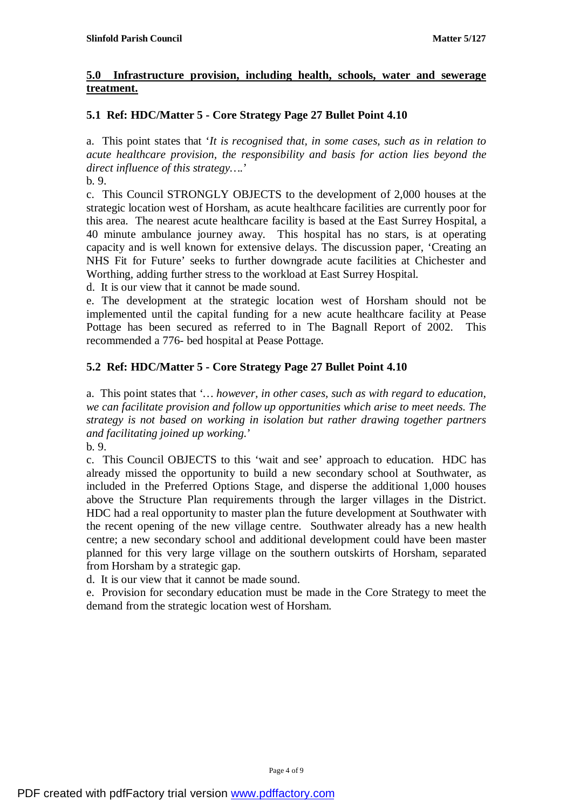### **5.0 Infrastructure provision, including health, schools, water and sewerage treatment.**

## **5.1 Ref: HDC/Matter 5 - Core Strategy Page 27 Bullet Point 4.10**

a. This point states that '*It is recognised that, in some cases, such as in relation to acute healthcare provision, the responsibility and basis for action lies beyond the direct influence of this strategy….*'

b. 9.

c. This Council STRONGLY OBJECTS to the development of 2,000 houses at the strategic location west of Horsham, as acute healthcare facilities are currently poor for this area. The nearest acute healthcare facility is based at the East Surrey Hospital, a 40 minute ambulance journey away. This hospital has no stars, is at operating capacity and is well known for extensive delays. The discussion paper, 'Creating an NHS Fit for Future' seeks to further downgrade acute facilities at Chichester and Worthing, adding further stress to the workload at East Surrey Hospital.

d. It is our view that it cannot be made sound.

e. The development at the strategic location west of Horsham should not be implemented until the capital funding for a new acute healthcare facility at Pease Pottage has been secured as referred to in The Bagnall Report of 2002. This recommended a 776- bed hospital at Pease Pottage.

## **5.2 Ref: HDC/Matter 5 - Core Strategy Page 27 Bullet Point 4.10**

a. This point states that '*… however, in other cases, such as with regard to education, we can facilitate provision and follow up opportunities which arise to meet needs. The strategy is not based on working in isolation but rather drawing together partners and facilitating joined up working.*'

b. 9.

c. This Council OBJECTS to this 'wait and see' approach to education. HDC has already missed the opportunity to build a new secondary school at Southwater, as included in the Preferred Options Stage, and disperse the additional 1,000 houses above the Structure Plan requirements through the larger villages in the District. HDC had a real opportunity to master plan the future development at Southwater with the recent opening of the new village centre. Southwater already has a new health centre; a new secondary school and additional development could have been master planned for this very large village on the southern outskirts of Horsham, separated from Horsham by a strategic gap.

d. It is our view that it cannot be made sound.

e. Provision for secondary education must be made in the Core Strategy to meet the demand from the strategic location west of Horsham.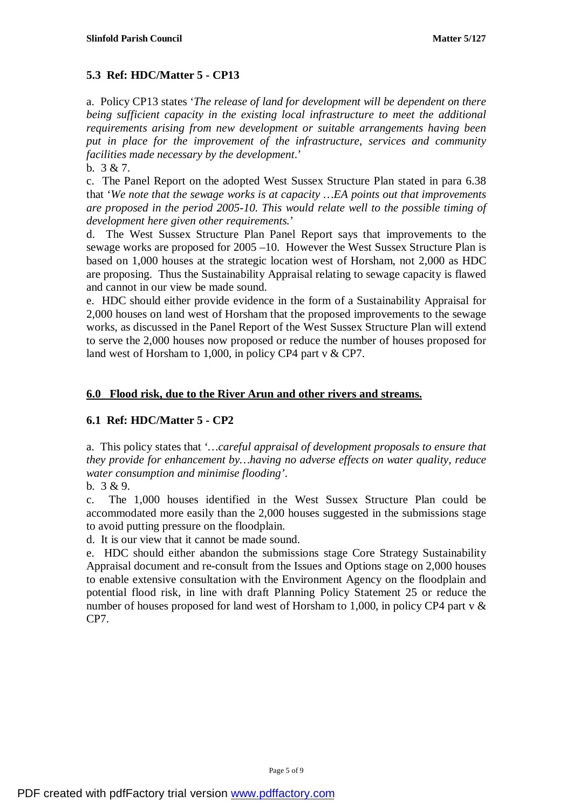## **5.3 Ref: HDC/Matter 5 - CP13**

a. Policy CP13 states '*The release of land for development will be dependent on there being sufficient capacity in the existing local infrastructure to meet the additional requirements arising from new development or suitable arrangements having been put in place for the improvement of the infrastructure, services and community facilities made necessary by the development*.'

b. 3 & 7.

c. The Panel Report on the adopted West Sussex Structure Plan stated in para 6.38 that '*We note that the sewage works is at capacity …EA points out that improvements are proposed in the period 2005-10. This would relate well to the possible timing of development here given other requirements.*'

d. The West Sussex Structure Plan Panel Report says that improvements to the sewage works are proposed for 2005 –10. However the West Sussex Structure Plan is based on 1,000 houses at the strategic location west of Horsham, not 2,000 as HDC are proposing. Thus the Sustainability Appraisal relating to sewage capacity is flawed and cannot in our view be made sound.

e. HDC should either provide evidence in the form of a Sustainability Appraisal for 2,000 houses on land west of Horsham that the proposed improvements to the sewage works, as discussed in the Panel Report of the West Sussex Structure Plan will extend to serve the 2,000 houses now proposed or reduce the number of houses proposed for land west of Horsham to 1,000, in policy CP4 part v & CP7.

## **6.0 Flood risk, due to the River Arun and other rivers and streams.**

## **6.1 Ref: HDC/Matter 5 - CP2**

a. This policy states that '*…careful appraisal of development proposals to ensure that they provide for enhancement by…having no adverse effects on water quality, reduce water consumption and minimise flooding'*.

b. 3 & 9.

c. The 1,000 houses identified in the West Sussex Structure Plan could be accommodated more easily than the 2,000 houses suggested in the submissions stage to avoid putting pressure on the floodplain.

d. It is our view that it cannot be made sound.

e. HDC should either abandon the submissions stage Core Strategy Sustainability Appraisal document and re-consult from the Issues and Options stage on 2,000 houses to enable extensive consultation with the Environment Agency on the floodplain and potential flood risk, in line with draft Planning Policy Statement 25 or reduce the number of houses proposed for land west of Horsham to 1,000, in policy CP4 part v & CP7.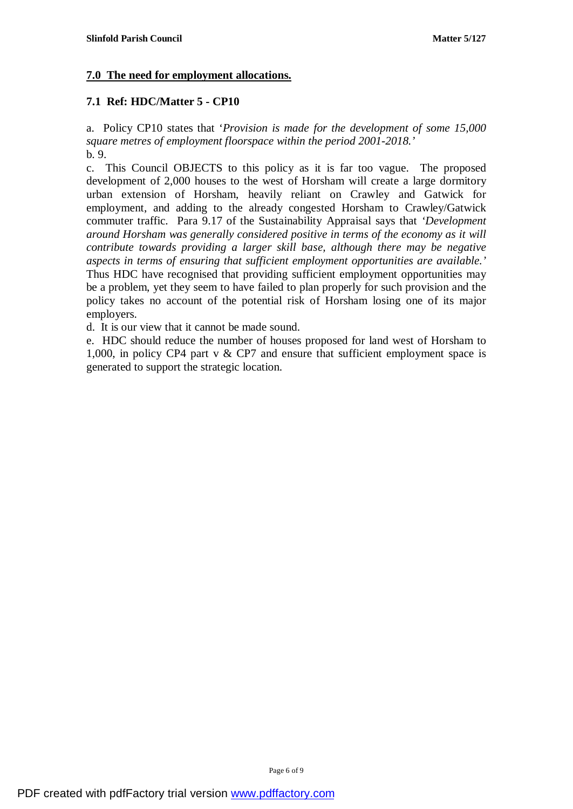## **7.0 The need for employment allocations.**

## **7.1 Ref: HDC/Matter 5 - CP10**

a. Policy CP10 states that '*Provision is made for the development of some 15,000 square metres of employment floorspace within the period 2001-2018.'*  b. 9.

c. This Council OBJECTS to this policy as it is far too vague. The proposed development of 2,000 houses to the west of Horsham will create a large dormitory urban extension of Horsham, heavily reliant on Crawley and Gatwick for employment, and adding to the already congested Horsham to Crawley/Gatwick commuter traffic. Para 9.17 of the Sustainability Appraisal says that *'Development around Horsham was generally considered positive in terms of the economy as it will contribute towards providing a larger skill base, although there may be negative aspects in terms of ensuring that sufficient employment opportunities are available.'*  Thus HDC have recognised that providing sufficient employment opportunities may be a problem, yet they seem to have failed to plan properly for such provision and the policy takes no account of the potential risk of Horsham losing one of its major employers.

d. It is our view that it cannot be made sound.

e. HDC should reduce the number of houses proposed for land west of Horsham to 1,000, in policy CP4 part v & CP7 and ensure that sufficient employment space is generated to support the strategic location.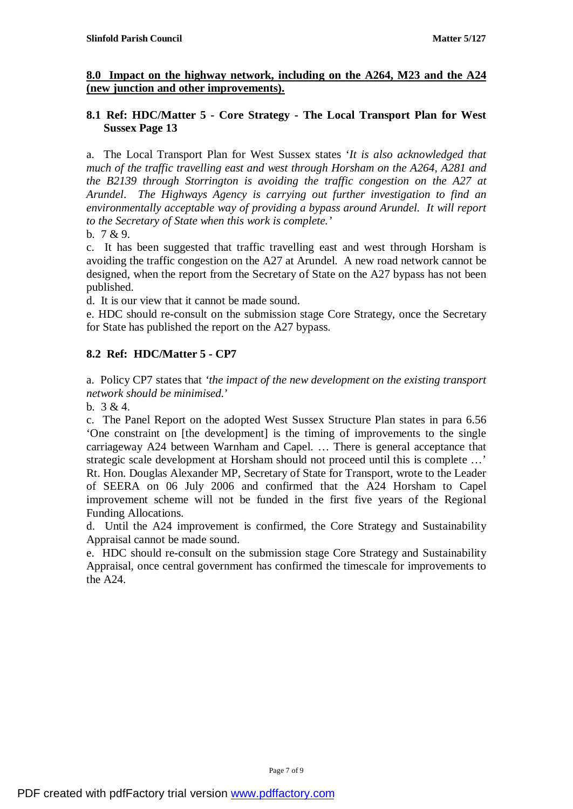### **8.0 Impact on the highway network, including on the A264, M23 and the A24 (new junction and other improvements).**

### **8.1 Ref: HDC/Matter 5 - Core Strategy - The Local Transport Plan for West Sussex Page 13**

a. The Local Transport Plan for West Sussex states '*It is also acknowledged that much of the traffic travelling east and west through Horsham on the A264, A281 and the B2139 through Storrington is avoiding the traffic congestion on the A27 at Arundel*. *The Highways Agency is carrying out further investigation to find an environmentally acceptable way of providing a bypass around Arundel. It will report to the Secretary of State when this work is complete.'* 

b. 7 & 9.

c. It has been suggested that traffic travelling east and west through Horsham is avoiding the traffic congestion on the A27 at Arundel. A new road network cannot be designed, when the report from the Secretary of State on the A27 bypass has not been published.

d. It is our view that it cannot be made sound.

e. HDC should re-consult on the submission stage Core Strategy, once the Secretary for State has published the report on the A27 bypass.

# **8.2 Ref: HDC/Matter 5 - CP7**

a. Policy CP7 states that *'the impact of the new development on the existing transport network should be minimised.*'

b. 3 & 4.

c. The Panel Report on the adopted West Sussex Structure Plan states in para 6.56 'One constraint on [the development] is the timing of improvements to the single carriageway A24 between Warnham and Capel. … There is general acceptance that strategic scale development at Horsham should not proceed until this is complete …' Rt. Hon. Douglas Alexander MP, Secretary of State for Transport, wrote to the Leader of SEERA on 06 July 2006 and confirmed that the A24 Horsham to Capel improvement scheme will not be funded in the first five years of the Regional Funding Allocations.

d. Until the A24 improvement is confirmed, the Core Strategy and Sustainability Appraisal cannot be made sound.

e. HDC should re-consult on the submission stage Core Strategy and Sustainability Appraisal, once central government has confirmed the timescale for improvements to the A24.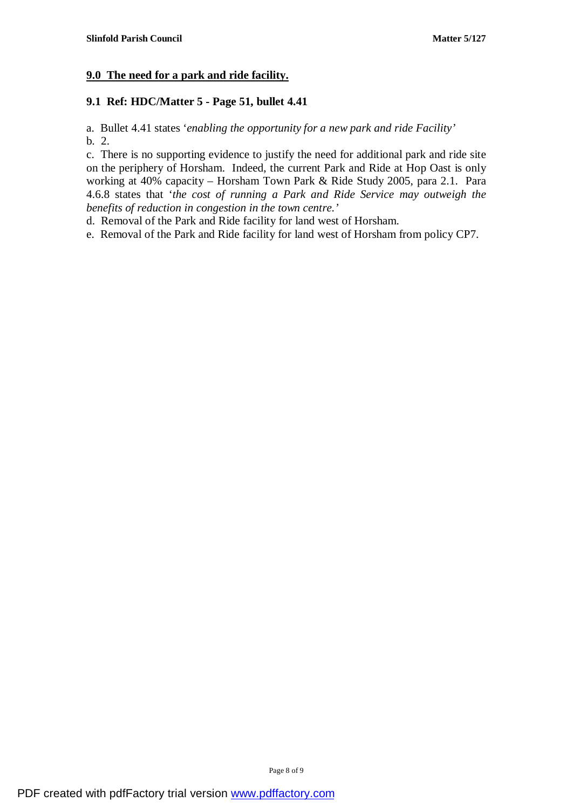## **9.0 The need for a park and ride facility.**

### **9.1 Ref: HDC/Matter 5 - Page 51, bullet 4.41**

a. Bullet 4.41 states '*enabling the opportunity for a new park and ride Facility'*  b. 2.

c. There is no supporting evidence to justify the need for additional park and ride site on the periphery of Horsham. Indeed, the current Park and Ride at Hop Oast is only working at 40% capacity – Horsham Town Park & Ride Study 2005, para 2.1. Para 4.6.8 states that '*the cost of running a Park and Ride Service may outweigh the benefits of reduction in congestion in the town centre.'*

d. Removal of the Park and Ride facility for land west of Horsham.

e. Removal of the Park and Ride facility for land west of Horsham from policy CP7.